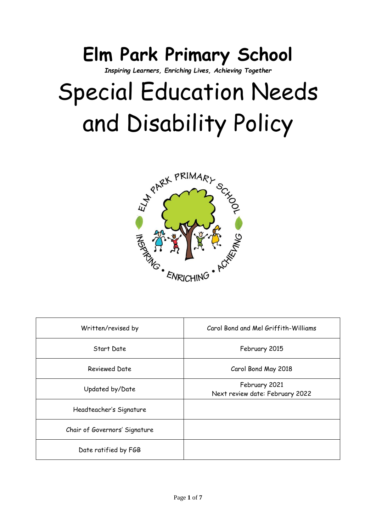## **Elm Park Primary School**

*Inspiring Learners, Enriching Lives, Achieving Together*

# Special Education Needs and Disability Policy



| Written/revised by            | Carol Bond and Mel Griffith-Williams             |  |
|-------------------------------|--------------------------------------------------|--|
| Start Date                    | February 2015                                    |  |
| <b>Reviewed Date</b>          | Carol Bond May 2018                              |  |
| Updated by/Date               | February 2021<br>Next review date: February 2022 |  |
| Headteacher's Signature       |                                                  |  |
| Chair of Governors' Signature |                                                  |  |
| Date ratified by FGB          |                                                  |  |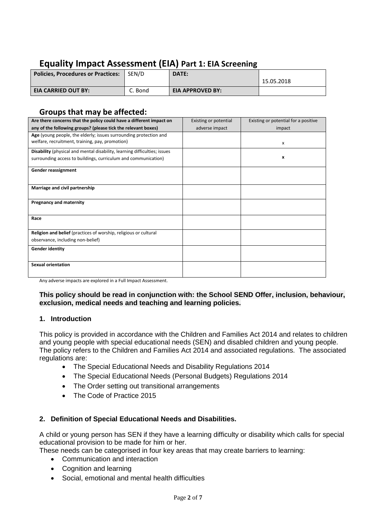### **Equality Impact Assessment (EIA) Part 1: EIA Screening**

| <b>Policies, Procedures or Practices:</b> | SEN/D   | DATE:                   |            |
|-------------------------------------------|---------|-------------------------|------------|
|                                           |         |                         | 15.05.2018 |
| <b>EIA CARRIED OUT BY:</b>                | C. Bond | <b>EIA APPROVED BY:</b> |            |

#### **Groups that may be affected:**

| Are there concerns that the policy could have a different impact on       | Existing or potential | Existing or potential for a positive |
|---------------------------------------------------------------------------|-----------------------|--------------------------------------|
| any of the following groups? (please tick the relevant boxes)             | adverse impact        | impact                               |
| Age (young people, the elderly; issues surrounding protection and         |                       |                                      |
| welfare, recruitment, training, pay, promotion)                           |                       | x                                    |
| Disability (physical and mental disability, learning difficulties; issues |                       |                                      |
| surrounding access to buildings, curriculum and communication)            |                       | x                                    |
| Gender reassignment                                                       |                       |                                      |
|                                                                           |                       |                                      |
| Marriage and civil partnership                                            |                       |                                      |
|                                                                           |                       |                                      |
| <b>Pregnancy and maternity</b>                                            |                       |                                      |
|                                                                           |                       |                                      |
| Race                                                                      |                       |                                      |
| Religion and belief (practices of worship, religious or cultural          |                       |                                      |
| observance, including non-belief)                                         |                       |                                      |
| <b>Gender identity</b>                                                    |                       |                                      |
|                                                                           |                       |                                      |
| <b>Sexual orientation</b>                                                 |                       |                                      |
|                                                                           |                       |                                      |
| Application of the property was produced by a Full because Association of |                       |                                      |

Any adverse impacts are explored in a Full Impact Assessment.

**This policy should be read in conjunction with: the School SEND Offer, inclusion, behaviour, exclusion, medical needs and teaching and learning policies.**

#### **1. Introduction**

This policy is provided in accordance with the Children and Families Act 2014 and relates to children and young people with special educational needs (SEN) and disabled children and young people. The policy refers to the Children and Families Act 2014 and associated regulations. The associated regulations are:

- The Special Educational Needs and Disability Regulations 2014
- The Special Educational Needs (Personal Budgets) Regulations 2014
- The Order setting out transitional arrangements
- The Code of Practice 2015

#### **2. Definition of Special Educational Needs and Disabilities.**

A child or young person has SEN if they have a learning difficulty or disability which calls for special educational provision to be made for him or her.

These needs can be categorised in four key areas that may create barriers to learning:

- Communication and interaction
- Cognition and learning
- Social, emotional and mental health difficulties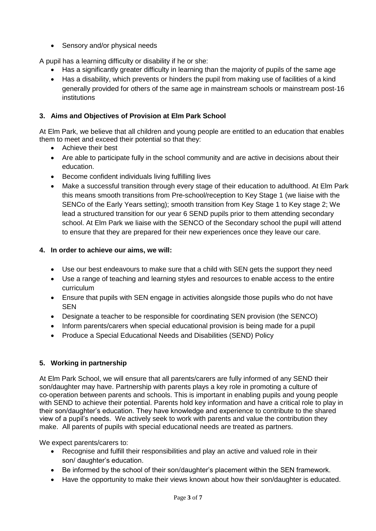• Sensory and/or physical needs

A pupil has a learning difficulty or disability if he or she:

- Has a significantly greater difficulty in learning than the majority of pupils of the same age
- Has a disability, which prevents or hinders the pupil from making use of facilities of a kind generally provided for others of the same age in mainstream schools or mainstream post‐16 institutions

#### **3. Aims and Objectives of Provision at Elm Park School**

At Elm Park, we believe that all children and young people are entitled to an education that enables them to meet and exceed their potential so that they:

- Achieve their best
- Are able to participate fully in the school community and are active in decisions about their education.
- Become confident individuals living fulfilling lives
- Make a successful transition through every stage of their education to adulthood. At Elm Park this means smooth transitions from Pre-school/reception to Key Stage 1 (we liaise with the SENCo of the Early Years setting); smooth transition from Key Stage 1 to Key stage 2; We lead a structured transition for our year 6 SEND pupils prior to them attending secondary school. At Elm Park we liaise with the SENCO of the Secondary school the pupil will attend to ensure that they are prepared for their new experiences once they leave our care.

#### **4. In order to achieve our aims, we will:**

- Use our best endeavours to make sure that a child with SEN gets the support they need
- Use a range of teaching and learning styles and resources to enable access to the entire curriculum
- Ensure that pupils with SEN engage in activities alongside those pupils who do not have SEN
- Designate a teacher to be responsible for coordinating SEN provision (the SENCO)
- Inform parents/carers when special educational provision is being made for a pupil
- Produce a Special Educational Needs and Disabilities (SEND) Policy

#### **5. Working in partnership**

At Elm Park School, we will ensure that all parents/carers are fully informed of any SEND their son/daughter may have. Partnership with parents plays a key role in promoting a culture of co‐operation between parents and schools. This is important in enabling pupils and young people with SEND to achieve their potential. Parents hold key information and have a critical role to play in their son/daughter's education. They have knowledge and experience to contribute to the shared view of a pupil's needs. We actively seek to work with parents and value the contribution they make. All parents of pupils with special educational needs are treated as partners.

We expect parents/carers to:

- Recognise and fulfill their responsibilities and play an active and valued role in their son/ daughter's education.
- Be informed by the school of their son/daughter's placement within the SEN framework.
- Have the opportunity to make their views known about how their son/daughter is educated.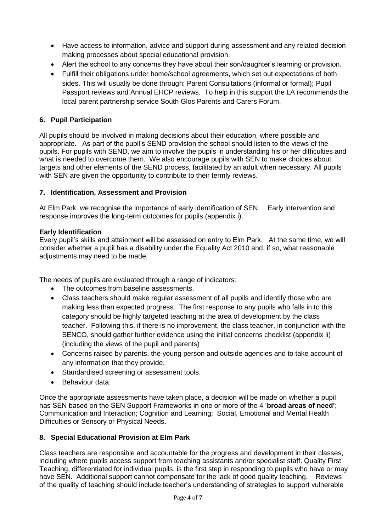- Have access to information, advice and support during assessment and any related decision making processes about special educational provision.
- Alert the school to any concerns they have about their son/daughter's learning or provision.
- Fulfill their obligations under home/school agreements, which set out expectations of both sides. This will usually be done through: Parent Consultations (informal or formal); Pupil Passport reviews and Annual EHCP reviews. To help in this support the LA recommends the local parent partnership service South Glos Parents and Carers Forum.

#### **6. Pupil Participation**

All pupils should be involved in making decisions about their education, where possible and appropriate. As part of the pupil's SEND provision the school should listen to the views of the pupils. For pupils with SEND, we aim to involve the pupils in understanding his or her difficulties and what is needed to overcome them. We also encourage pupils with SEN to make choices about targets and other elements of the SEND process, facilitated by an adult when necessary. All pupils with SEN are given the opportunity to contribute to their termly reviews.

#### **7. Identification, Assessment and Provision**

At Elm Park, we recognise the importance of early identification of SEN. Early intervention and response improves the long‐term outcomes for pupils (appendix i).

#### **Early Identification**

Every pupil's skills and attainment will be assessed on entry to Elm Park. At the same time, we will consider whether a pupil has a disability under the Equality Act 2010 and, if so, what reasonable adjustments may need to be made.

The needs of pupils are evaluated through a range of indicators:

- The outcomes from baseline assessments.
- Class teachers should make regular assessment of all pupils and identify those who are making less than expected progress. The first response to any pupils who falls in to this category should be highly targeted teaching at the area of development by the class teacher. Following this, if there is no improvement, the class teacher, in conjunction with the SENCO, should gather further evidence using the initial concerns checklist (appendix ii) (including the views of the pupil and parents)
- Concerns raised by parents, the young person and outside agencies and to take account of any information that they provide.
- Standardised screening or assessment tools.
- Behaviour data.

Once the appropriate assessments have taken place, a decision will be made on whether a pupil has SEN based on the SEN Support Frameworks in one or more of the 4 '**broad areas of need'**; Communication and Interaction; Cognition and Learning; Social, Emotional and Mental Health Difficulties or Sensory or Physical Needs.

#### **8. Special Educational Provision at Elm Park**

Class teachers are responsible and accountable for the progress and development in their classes, including where pupils access support from teaching assistants and/or specialist staff. Quality First Teaching, differentiated for individual pupils, is the first step in responding to pupils who have or may have SEN. Additional support cannot compensate for the lack of good quality teaching. Reviews of the quality of teaching should include teacher's understanding of strategies to support vulnerable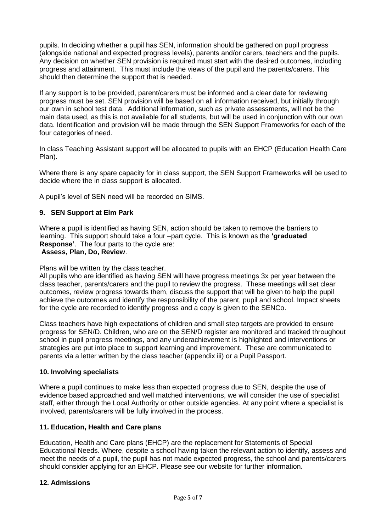pupils. In deciding whether a pupil has SEN, information should be gathered on pupil progress (alongside national and expected progress levels), parents and/or carers, teachers and the pupils. Any decision on whether SEN provision is required must start with the desired outcomes, including progress and attainment. This must include the views of the pupil and the parents/carers. This should then determine the support that is needed.

If any support is to be provided, parent/carers must be informed and a clear date for reviewing progress must be set. SEN provision will be based on all information received, but initially through our own in school test data. Additional information, such as private assessments, will not be the main data used, as this is not available for all students, but will be used in conjunction with our own data. Identification and provision will be made through the SEN Support Frameworks for each of the four categories of need.

In class Teaching Assistant support will be allocated to pupils with an EHCP (Education Health Care Plan).

Where there is any spare capacity for in class support, the SEN Support Frameworks will be used to decide where the in class support is allocated.

A pupil's level of SEN need will be recorded on SIMS.

#### **9. SEN Support at Elm Park**

Where a pupil is identified as having SEN, action should be taken to remove the barriers to learning. This support should take a four –part cycle. This is known as the **'graduated Response'**. The four parts to the cycle are:

#### **Assess, Plan, Do, Review**.

Plans will be written by the class teacher.

All pupils who are identified as having SEN will have progress meetings 3x per year between the class teacher, parents/carers and the pupil to review the progress. These meetings will set clear outcomes, review progress towards them, discuss the support that will be given to help the pupil achieve the outcomes and identify the responsibility of the parent, pupil and school. Impact sheets for the cycle are recorded to identify progress and a copy is given to the SENCo.

Class teachers have high expectations of children and small step targets are provided to ensure progress for SEN/D. Children, who are on the SEN/D register are monitored and tracked throughout school in pupil progress meetings, and any underachievement is highlighted and interventions or strategies are put into place to support learning and improvement. These are communicated to parents via a letter written by the class teacher (appendix iii) or a Pupil Passport.

#### **10. Involving specialists**

Where a pupil continues to make less than expected progress due to SEN, despite the use of evidence based approached and well matched interventions, we will consider the use of specialist staff, either through the Local Authority or other outside agencies. At any point where a specialist is involved, parents/carers will be fully involved in the process.

#### **11. Education, Health and Care plans**

Education, Health and Care plans (EHCP) are the replacement for Statements of Special Educational Needs. Where, despite a school having taken the relevant action to identify, assess and meet the needs of a pupil, the pupil has not made expected progress, the school and parents/carers should consider applying for an EHCP. Please see our website for further information.

#### **12. Admissions**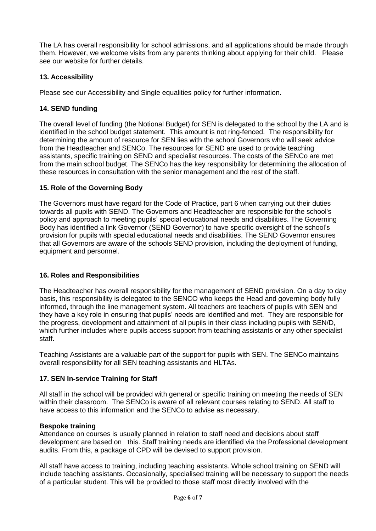The LA has overall responsibility for school admissions, and all applications should be made through them. However, we welcome visits from any parents thinking about applying for their child. Please see our website for further details.

#### **13. Accessibility**

Please see our Accessibility and Single equalities policy for further information.

#### **14. SEND funding**

The overall level of funding (the Notional Budget) for SEN is delegated to the school by the LA and is identified in the school budget statement. This amount is not ring-fenced. The responsibility for determining the amount of resource for SEN lies with the school Governors who will seek advice from the Headteacher and SENCo. The resources for SEND are used to provide teaching assistants, specific training on SEND and specialist resources. The costs of the SENCo are met from the main school budget. The SENCo has the key responsibility for determining the allocation of these resources in consultation with the senior management and the rest of the staff.

#### **15. Role of the Governing Body**

The Governors must have regard for the Code of Practice, part 6 when carrying out their duties towards all pupils with SEND. The Governors and Headteacher are responsible for the school's policy and approach to meeting pupils' special educational needs and disabilities. The Governing Body has identified a link Governor (SEND Governor) to have specific oversight of the school's provision for pupils with special educational needs and disabilities. The SEND Governor ensures that all Governors are aware of the schools SEND provision, including the deployment of funding, equipment and personnel.

#### **16. Roles and Responsibilities**

The Headteacher has overall responsibility for the management of SEND provision. On a day to day basis, this responsibility is delegated to the SENCO who keeps the Head and governing body fully informed, through the line management system. All teachers are teachers of pupils with SEN and they have a key role in ensuring that pupils' needs are identified and met. They are responsible for the progress, development and attainment of all pupils in their class including pupils with SEN/D, which further includes where pupils access support from teaching assistants or any other specialist staff.

Teaching Assistants are a valuable part of the support for pupils with SEN. The SENCo maintains overall responsibility for all SEN teaching assistants and HLTAs.

#### **17. SEN In**‐**service Training for Staff**

All staff in the school will be provided with general or specific training on meeting the needs of SEN within their classroom. The SENCo is aware of all relevant courses relating to SEND. All staff to have access to this information and the SENCo to advise as necessary.

#### **Bespoke training**

Attendance on courses is usually planned in relation to staff need and decisions about staff development are based on this. Staff training needs are identified via the Professional development audits. From this, a package of CPD will be devised to support provision.

All staff have access to training, including teaching assistants. Whole school training on SEND will include teaching assistants. Occasionally, specialised training will be necessary to support the needs of a particular student. This will be provided to those staff most directly involved with the